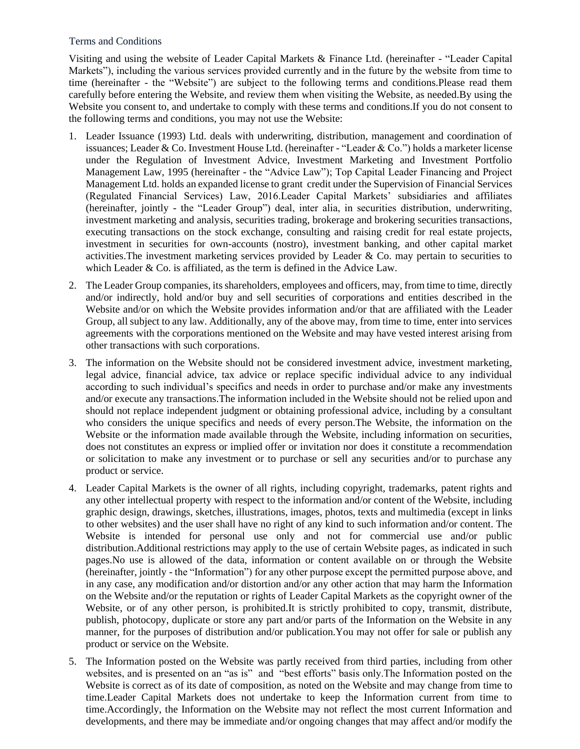## Terms and Conditions

Visiting and using the website of Leader Capital Markets & Finance Ltd. (hereinafter - "Leader Capital Markets"), including the various services provided currently and in the future by the website from time to time (hereinafter - the "Website") are subject to the following terms and conditions.Please read them carefully before entering the Website, and review them when visiting the Website, as needed.By using the Website you consent to, and undertake to comply with these terms and conditions.If you do not consent to the following terms and conditions, you may not use the Website:

- 1. Leader Issuance (1993) Ltd. deals with underwriting, distribution, management and coordination of issuances; Leader & Co. Investment House Ltd. (hereinafter - "Leader & Co.") holds a marketer license under the Regulation of Investment Advice, Investment Marketing and Investment Portfolio Management Law, 1995 (hereinafter - the "Advice Law"); Top Capital Leader Financing and Project Management Ltd. holds an expanded license to grant credit under the Supervision of Financial Services (Regulated Financial Services) Law, 2016.Leader Capital Markets' subsidiaries and affiliates (hereinafter, jointly - the "Leader Group") deal, inter alia, in securities distribution, underwriting, investment marketing and analysis, securities trading, brokerage and brokering securities transactions, executing transactions on the stock exchange, consulting and raising credit for real estate projects, investment in securities for own-accounts (nostro), investment banking, and other capital market activities. The investment marketing services provided by Leader  $\&$  Co. may pertain to securities to which Leader & Co. is affiliated, as the term is defined in the Advice Law.
- 2. The Leader Group companies, its shareholders, employees and officers, may, from time to time, directly and/or indirectly, hold and/or buy and sell securities of corporations and entities described in the Website and/or on which the Website provides information and/or that are affiliated with the Leader Group, all subject to any law. Additionally, any of the above may, from time to time, enter into services agreements with the corporations mentioned on the Website and may have vested interest arising from other transactions with such corporations.
- 3. The information on the Website should not be considered investment advice, investment marketing, legal advice, financial advice, tax advice or replace specific individual advice to any individual according to such individual's specifics and needs in order to purchase and/or make any investments and/or execute any transactions.The information included in the Website should not be relied upon and should not replace independent judgment or obtaining professional advice, including by a consultant who considers the unique specifics and needs of every person.The Website, the information on the Website or the information made available through the Website, including information on securities, does not constitutes an express or implied offer or invitation nor does it constitute a recommendation or solicitation to make any investment or to purchase or sell any securities and/or to purchase any product or service.
- 4. Leader Capital Markets is the owner of all rights, including copyright, trademarks, patent rights and any other intellectual property with respect to the information and/or content of the Website, including graphic design, drawings, sketches, illustrations, images, photos, texts and multimedia (except in links to other websites) and the user shall have no right of any kind to such information and/or content. The Website is intended for personal use only and not for commercial use and/or public distribution.Additional restrictions may apply to the use of certain Website pages, as indicated in such pages.No use is allowed of the data, information or content available on or through the Website (hereinafter, jointly - the "Information") for any other purpose except the permitted purpose above, and in any case, any modification and/or distortion and/or any other action that may harm the Information on the Website and/or the reputation or rights of Leader Capital Markets as the copyright owner of the Website, or of any other person, is prohibited.It is strictly prohibited to copy, transmit, distribute, publish, photocopy, duplicate or store any part and/or parts of the Information on the Website in any manner, for the purposes of distribution and/or publication.You may not offer for sale or publish any product or service on the Website.
- 5. The Information posted on the Website was partly received from third parties, including from other websites, and is presented on an "as is" and "best efforts" basis only.The Information posted on the Website is correct as of its date of composition, as noted on the Website and may change from time to time.Leader Capital Markets does not undertake to keep the Information current from time to time.Accordingly, the Information on the Website may not reflect the most current Information and developments, and there may be immediate and/or ongoing changes that may affect and/or modify the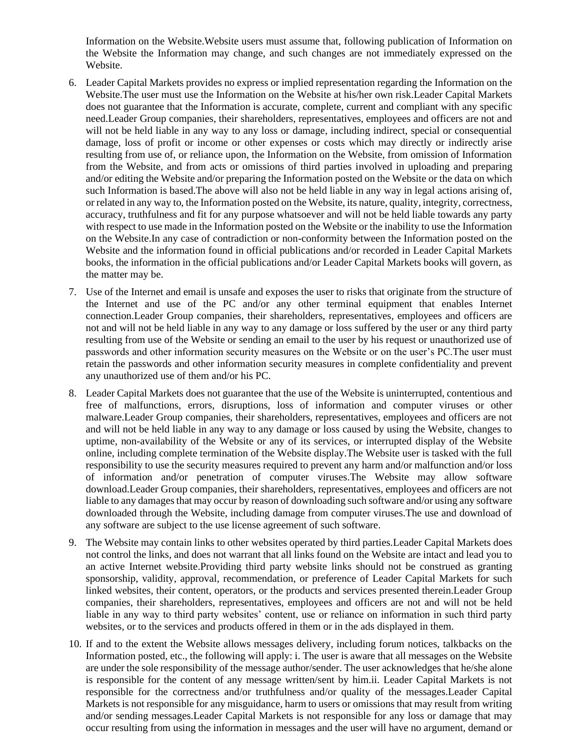Information on the Website.Website users must assume that, following publication of Information on the Website the Information may change, and such changes are not immediately expressed on the Website.

- 6. Leader Capital Markets provides no express or implied representation regarding the Information on the Website.The user must use the Information on the Website at his/her own risk.Leader Capital Markets does not guarantee that the Information is accurate, complete, current and compliant with any specific need.Leader Group companies, their shareholders, representatives, employees and officers are not and will not be held liable in any way to any loss or damage, including indirect, special or consequential damage, loss of profit or income or other expenses or costs which may directly or indirectly arise resulting from use of, or reliance upon, the Information on the Website, from omission of Information from the Website, and from acts or omissions of third parties involved in uploading and preparing and/or editing the Website and/or preparing the Information posted on the Website or the data on which such Information is based.The above will also not be held liable in any way in legal actions arising of, or related in any way to, the Information posted on the Website, its nature, quality, integrity, correctness, accuracy, truthfulness and fit for any purpose whatsoever and will not be held liable towards any party with respect to use made in the Information posted on the Website or the inability to use the Information on the Website.In any case of contradiction or non-conformity between the Information posted on the Website and the information found in official publications and/or recorded in Leader Capital Markets books, the information in the official publications and/or Leader Capital Markets books will govern, as the matter may be.
- 7. Use of the Internet and email is unsafe and exposes the user to risks that originate from the structure of the Internet and use of the PC and/or any other terminal equipment that enables Internet connection.Leader Group companies, their shareholders, representatives, employees and officers are not and will not be held liable in any way to any damage or loss suffered by the user or any third party resulting from use of the Website or sending an email to the user by his request or unauthorized use of passwords and other information security measures on the Website or on the user's PC.The user must retain the passwords and other information security measures in complete confidentiality and prevent any unauthorized use of them and/or his PC.
- 8. Leader Capital Markets does not guarantee that the use of the Website is uninterrupted, contentious and free of malfunctions, errors, disruptions, loss of information and computer viruses or other malware.Leader Group companies, their shareholders, representatives, employees and officers are not and will not be held liable in any way to any damage or loss caused by using the Website, changes to uptime, non-availability of the Website or any of its services, or interrupted display of the Website online, including complete termination of the Website display.The Website user is tasked with the full responsibility to use the security measures required to prevent any harm and/or malfunction and/or loss of information and/or penetration of computer viruses.The Website may allow software download.Leader Group companies, their shareholders, representatives, employees and officers are not liable to any damages that may occur by reason of downloading such software and/or using any software downloaded through the Website, including damage from computer viruses.The use and download of any software are subject to the use license agreement of such software.
- 9. The Website may contain links to other websites operated by third parties.Leader Capital Markets does not control the links, and does not warrant that all links found on the Website are intact and lead you to an active Internet website.Providing third party website links should not be construed as granting sponsorship, validity, approval, recommendation, or preference of Leader Capital Markets for such linked websites, their content, operators, or the products and services presented therein.Leader Group companies, their shareholders, representatives, employees and officers are not and will not be held liable in any way to third party websites' content, use or reliance on information in such third party websites, or to the services and products offered in them or in the ads displayed in them.
- 10. If and to the extent the Website allows messages delivery, including forum notices, talkbacks on the Information posted, etc., the following will apply: i. The user is aware that all messages on the Website are under the sole responsibility of the message author/sender. The user acknowledges that he/she alone is responsible for the content of any message written/sent by him.ii. Leader Capital Markets is not responsible for the correctness and/or truthfulness and/or quality of the messages.Leader Capital Markets is not responsible for any misguidance, harm to users or omissions that may result from writing and/or sending messages.Leader Capital Markets is not responsible for any loss or damage that may occur resulting from using the information in messages and the user will have no argument, demand or